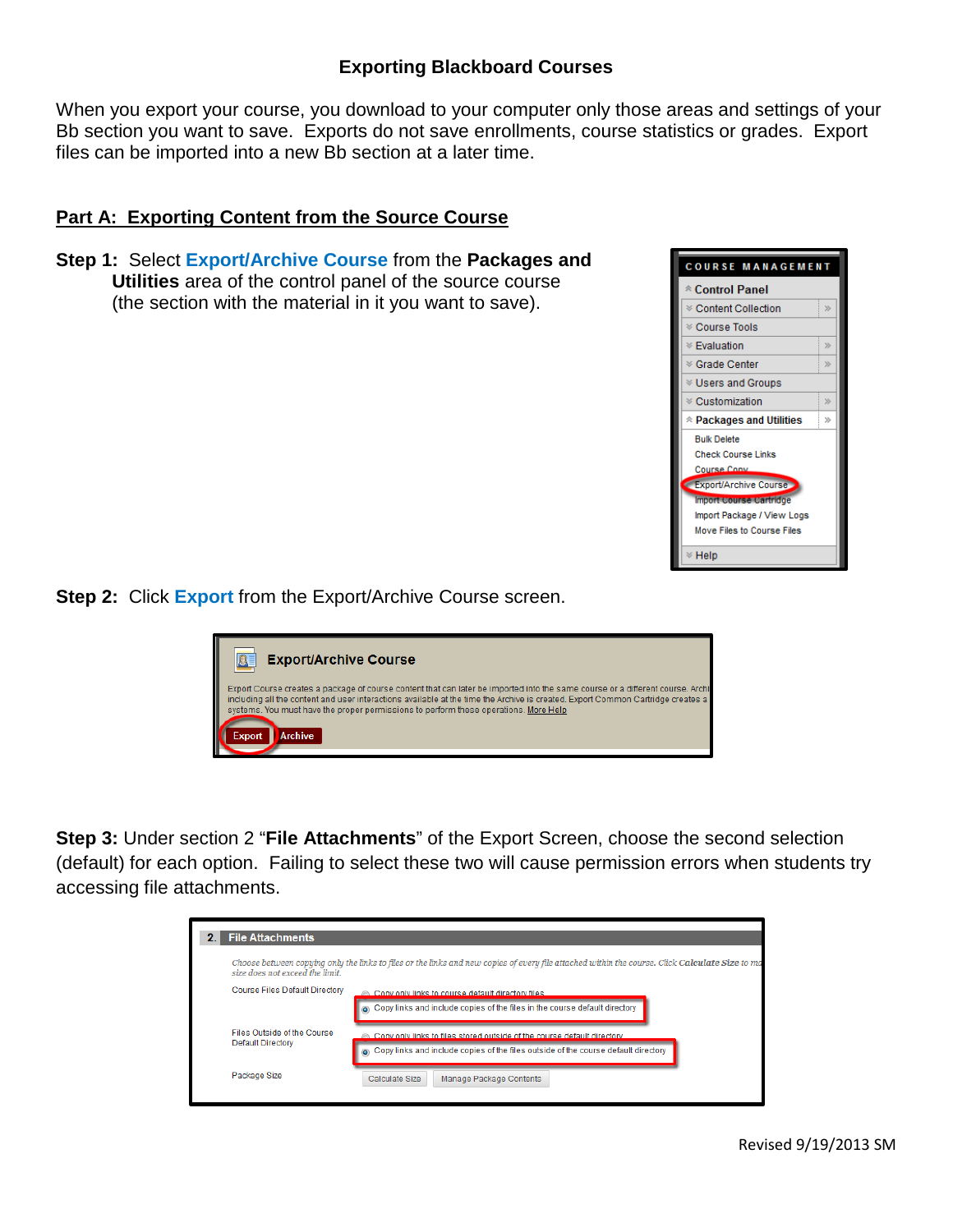## **Exporting Blackboard Courses**

When you export your course, you download to your computer only those areas and settings of your Bb section you want to save. Exports do not save enrollments, course statistics or grades. Export files can be imported into a new Bb section at a later time.

## **Part A: Exporting Content from the Source Course**

**Step 1:** Select **Export/Archive Course** from the **Packages and Utilities** area of the control panel of the source course (the section with the material in it you want to save).



**Step 2: Click Export from the Export/Archive Course screen.** 



**Step 3:** Under section 2 "**File Attachments**" of the Export Screen, choose the second selection (default) for each option. Failing to select these two will cause permission errors when students try accessing file attachments.

| <b>2.</b> File Attachments                       |                                                                                                                                                               |  |  |  |  |
|--------------------------------------------------|---------------------------------------------------------------------------------------------------------------------------------------------------------------|--|--|--|--|
| size does not exceed the limit.                  | Choose between copying only the links to files or the links and new copies of every file attached within the course. Click <b>Calculate Size</b> to ma        |  |  |  |  |
| Course Files Default Directory                   | Conv only links to course default directory files<br>Copy links and include copies of the files in the course default directory                               |  |  |  |  |
| Files Outside of the Course<br>Default Directory | Copy only links to files stored outside of the course default directory<br>Copy links and include copies of the files outside of the course default directory |  |  |  |  |
| Package Size                                     | Calculate Size<br>Manage Package Contents                                                                                                                     |  |  |  |  |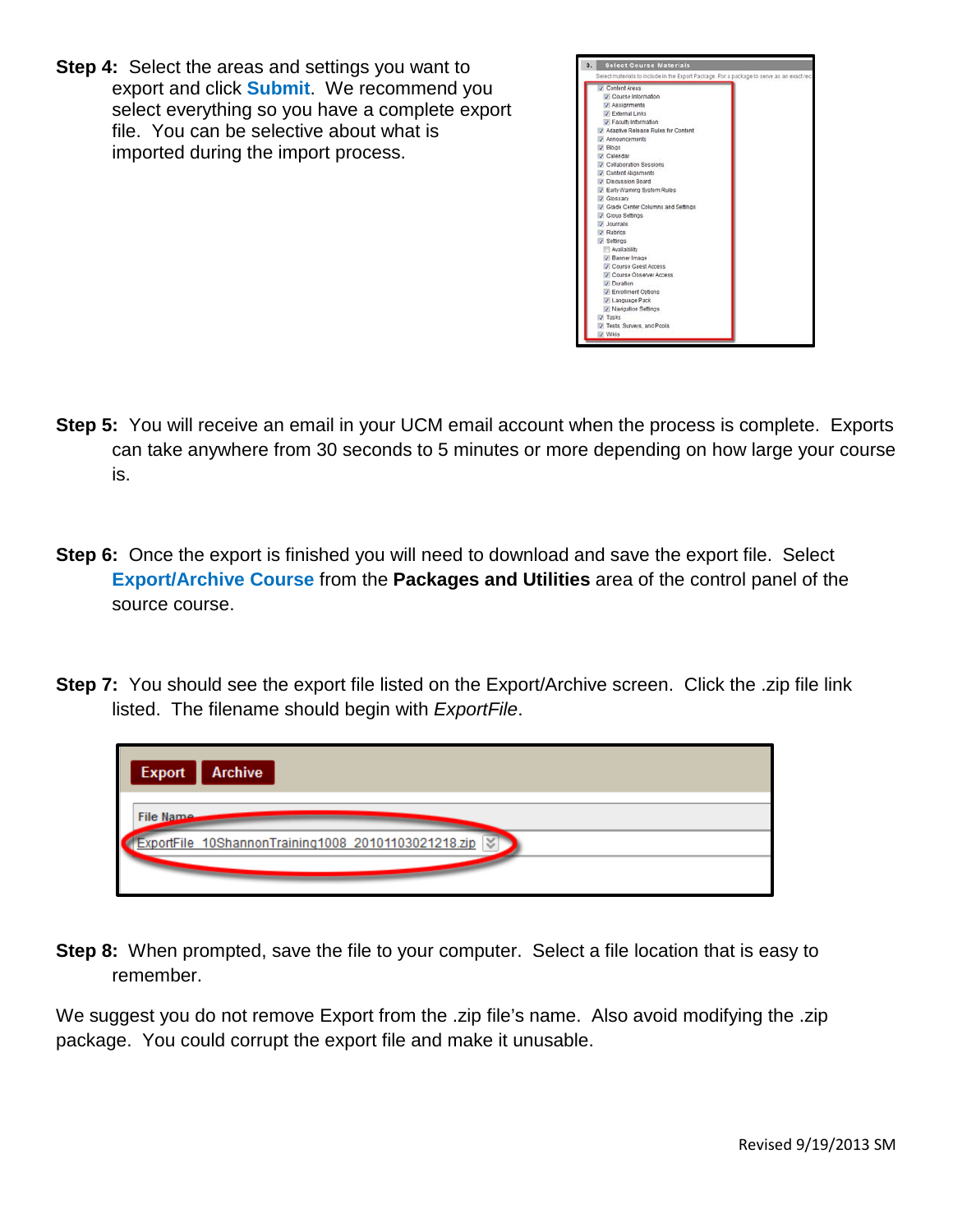**Step 4:** Select the areas and settings you want to export and click **Submit**. We recommend you select everything so you have a complete export file. You can be selective about what is imported during the import process.



- **Step 5:** You will receive an email in your UCM email account when the process is complete. Exports can take anywhere from 30 seconds to 5 minutes or more depending on how large your course is.
- **Step 6:** Once the export is finished you will need to download and save the export file. Select **Export/Archive Course** from the **Packages and Utilities** area of the control panel of the source course.
- **Step 7:** You should see the export file listed on the Export/Archive screen. Click the .zip file link listed. The filename should begin with *ExportFile*.

| <b>Export</b><br><b>Archive</b>                         |
|---------------------------------------------------------|
| File Name                                               |
| ExportFile 10ShannonTraining1008 20101103021218.zip   < |
|                                                         |

**Step 8:** When prompted, save the file to your computer. Select a file location that is easy to remember.

We suggest you do not remove Export from the .zip file's name. Also avoid modifying the .zip package. You could corrupt the export file and make it unusable.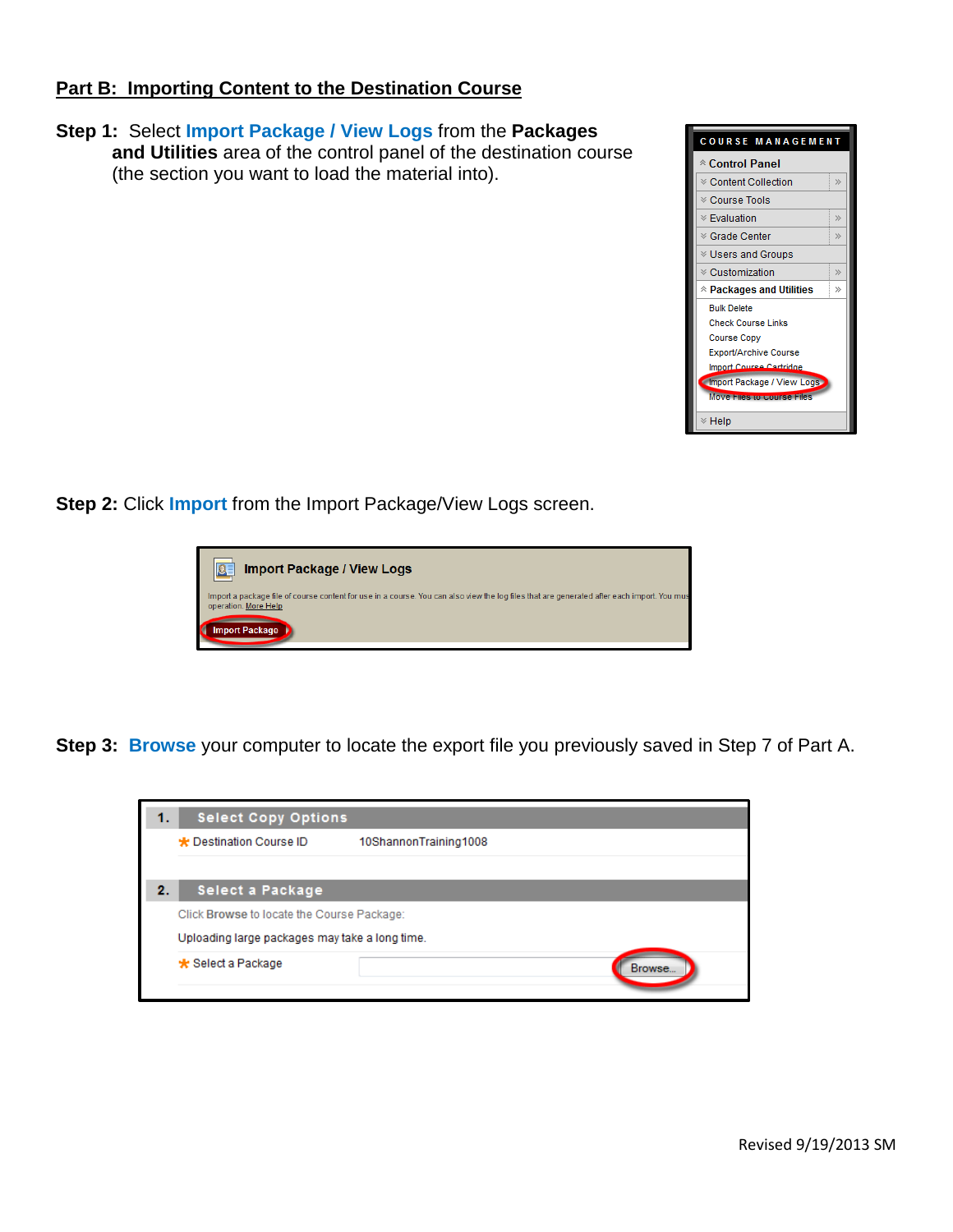## **Part B: Importing Content to the Destination Course**

**Step 1:** Select **Import Package / View Logs** from the **Packages and Utilities** area of the control panel of the destination course (the section you want to load the material into).



**Step 2: Click Import from the Import Package/View Logs screen.** 

| <b>Import Package / View Logs</b>                                                                                                                                  |
|--------------------------------------------------------------------------------------------------------------------------------------------------------------------|
| Import a package file of course content for use in a course. You can also view the log files that are generated after each import. You mus<br>operation. More Help |
| <b>Import Package</b>                                                                                                                                              |

**Step 3: Browse** your computer to locate the export file you previously saved in Step 7 of Part A.

| <b>Select Copy Options</b><br>1.               |                                            |  |  |  |  |  |  |
|------------------------------------------------|--------------------------------------------|--|--|--|--|--|--|
| ★ Destination Course ID                        | 10ShannonTraining1008                      |  |  |  |  |  |  |
|                                                |                                            |  |  |  |  |  |  |
| $\mathbf{2}$ .<br>Select a Package             |                                            |  |  |  |  |  |  |
|                                                | Click Browse to locate the Course Package: |  |  |  |  |  |  |
| Uploading large packages may take a long time. |                                            |  |  |  |  |  |  |
| <del>★</del> Select a Package                  | Browse                                     |  |  |  |  |  |  |
|                                                |                                            |  |  |  |  |  |  |